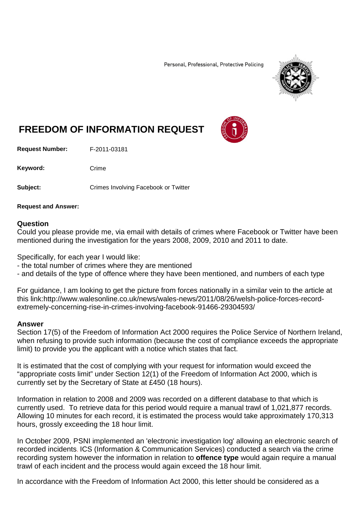Personal, Professional, Protective Policing



## **FREEDOM OF INFORMATION REQUEST**

**Request Number:** F-2011-03181

Keyword: Crime

**Subject:** Crimes Involving Facebook or Twitter

**Request and Answer:**

## **Question**

Could you please provide me, via email with details of crimes where Facebook or Twitter have been mentioned during the investigation for the years 2008, 2009, 2010 and 2011 to date.

Specifically, for each year I would like:

- the total number of crimes where they are mentioned
- and details of the type of offence where they have been mentioned, and numbers of each type

For guidance, I am looking to get the picture from forces nationally in a similar vein to the article at this link:http://www.walesonline.co.uk/news/wales-news/2011/08/26/welsh-police-forces-recordextremely-concerning-rise-in-crimes-involving-facebook-91466-29304593/

## **Answer**

Section 17(5) of the Freedom of Information Act 2000 requires the Police Service of Northern Ireland, when refusing to provide such information (because the cost of compliance exceeds the appropriate limit) to provide you the applicant with a notice which states that fact.

It is estimated that the cost of complying with your request for information would exceed the "appropriate costs limit" under Section 12(1) of the Freedom of Information Act 2000, which is currently set by the Secretary of State at £450 (18 hours).

Information in relation to 2008 and 2009 was recorded on a different database to that which is currently used. To retrieve data for this period would require a manual trawl of 1,021,877 records. Allowing 10 minutes for each record, it is estimated the process would take approximately 170,313 hours, grossly exceeding the 18 hour limit.

In October 2009, PSNI implemented an 'electronic investigation log' allowing an electronic search of recorded incidents. ICS (Information & Communication Services) conducted a search via the crime recording system however the information in relation to **offence type** would again require a manual trawl of each incident and the process would again exceed the 18 hour limit.

In accordance with the Freedom of Information Act 2000, this letter should be considered as a